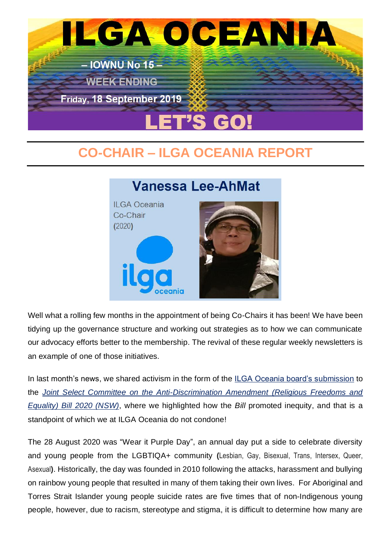

## **CO-CHAIR – ILGA OCEANIA REPORT**



Well what a rolling few months in the appointment of being Co-Chairs it has been! We have been tidying up the governance structure and working out strategies as to how we can communicate our advocacy efforts better to the membership. The revival of these regular weekly newsletters is an example of one of those initiatives.

In last month's news, we shared activism in the form of the [ILGA Oceania board's submission](http://www.ilgaoceania.org/submissions/2020-08-21a-submission_discrimination-amendment-(religious-freedoms-and-equality)-bill-2020-(nsw).htm) to the *[Joint Select Committee on the Anti-Discrimination Amendment \(Religious Freedoms and](https://www.parliament.nsw.gov.au/bills/Pages/bill-details.aspx?pk=3736)  [Equality\) Bill 2020 \(NSW\)](https://www.parliament.nsw.gov.au/bills/Pages/bill-details.aspx?pk=3736)*, where we highlighted how the *Bill* promoted inequity, and that is a standpoint of which we at ILGA Oceania do not condone!

The 28 August 2020 was "Wear it Purple Day", an annual day put a side to celebrate diversity and young people from the LGBTIQA+ community **(**Lesbian, Gay, Bisexual, Trans, Intersex, Queer, Asexual**)**. Historically, the day was founded in 2010 following the attacks, harassment and bullying on rainbow young people that resulted in many of them taking their own lives. For Aboriginal and Torres Strait Islander young people suicide rates are five times that of non-Indigenous young people, however, due to racism, stereotype and stigma, it is difficult to determine how many are

## **Vanessa Lee-AhMat**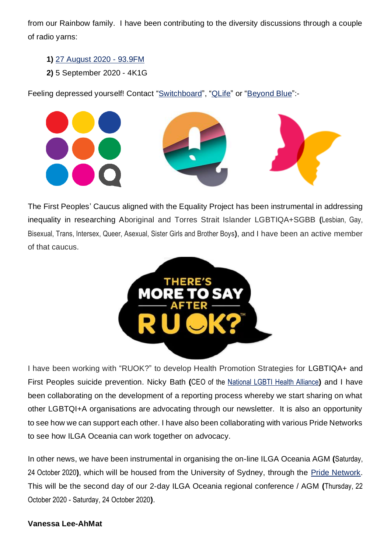from our Rainbow family. I have been contributing to the diversity discussions through a couple of radio yarns:

- **1)** [27 August 2020 -](https://989fm.com.au/listen/programs/lets-talk/lbgtqia-wear-it-purple-day/) 93.9FM
- **2)** 5 September 2020 4K1G

Feeling depressed yourself! Contact ["Switchboard"](http://www.switchboard.org.au/), ["QLife"](https://qlife.org.au/) or ["Beyond](https://www.beyondblue.org.au/) Blue":-



The First Peoples' Caucus aligned with the Equality Project has been instrumental in addressing inequality in researching Aboriginal and Torres Strait Islander LGBTIQA+SGBB **(**Lesbian, Gay, Bisexual, Trans, Intersex, Queer, Asexual, Sister Girls and Brother Boys**)**, and I have been an active member of that caucus.



I have been working with "RUOK?" to develop Health Promotion Strategies for LGBTIQA+ and First Peoples suicide prevention. Nicky Bath **(**CEO of the [National LGBTI Health Alliance](https://www.lgbtihealth.org.au/)**)** and I have been collaborating on the development of a reporting process whereby we start sharing on what other LGBTQI+A organisations are advocating through our newsletter. It is also an opportunity to see how we can support each other. I have also been collaborating with various Pride Networks to see how ILGA Oceania can work together on advocacy.

In other news, we have been instrumental in organising the on-line ILGA Oceania AGM **(**Saturday, 24 October 2020**)**, which will be housed from the University of Sydney, through the [Pride Network.](https://www.sydney.edu.au/about-us/vision-and-values/diversity/pride-network.html) This will be the second day of our 2-day ILGA Oceania regional conference / AGM **(**Thursday, 22 October 2020 - Saturday, 24 October 2020**)**.

#### **Vanessa Lee-AhMat**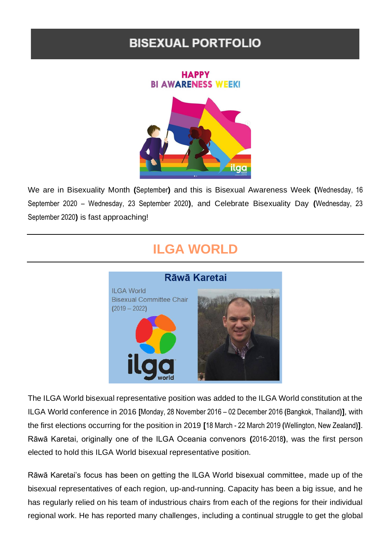### **BISEXUAL PORTFOLIO**

#### **HAPPY BI AWARENESS WEEK!**



We are in Bisexuality Month **(**September**)** and this is Bisexual Awareness Week **(**Wednesday, 16 September 2020 – Wednesday, 23 September 2020**)**, and Celebrate Bisexuality Day **(**Wednesday, 23 September 2020**)** is fast approaching!

# **ILGA WORLD**



The ILGA World bisexual representative position was added to the ILGA World constitution at the ILGA World conference in 2016 **[**Monday, 28 November 2016 – 02 December 2016 **(**Bangkok, Thailand**)]**, with the first elections occurring for the position in 2019 **[**18 March - 22 March 2019 **(**Wellington, New Zealand**)]**. Rāwā Karetai, originally one of the ILGA Oceania convenors **(**2016-2018**)**, was the first person elected to hold this ILGA World bisexual representative position.

Rāwā Karetai's focus has been on getting the ILGA World bisexual committee, made up of the bisexual representatives of each region, up-and-running. Capacity has been a big issue, and he has regularly relied on his team of industrious chairs from each of the regions for their individual regional work. He has reported many challenges, including a continual struggle to get the global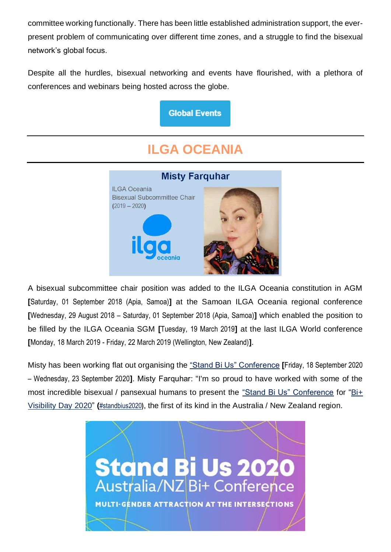committee working functionally. There has been little established administration support, the everpresent problem of communicating over different time zones, and a struggle to find the bisexual network's global focus.

Despite all the hurdles, bisexual networking and events have flourished, with a plethora of conferences and webinars being hosted across the globe.

**Global Events** 

# **ILGA OCEANIA**



A bisexual subcommittee chair position was added to the ILGA Oceania constitution in AGM **[**Saturday, 01 September 2018 (Apia, Samoa)**]** at the Samoan ILGA Oceania regional conference **[**Wednesday, 29 August 2018 – Saturday, 01 September 2018 (Apia, Samoa)**]** which enabled the position to be filled by the ILGA Oceania SGM **[**Tuesday, 19 March 2019**]** at the last ILGA World conference **[**Monday, 18 March 2019 - Friday, 22 March 2019 (Wellington, New Zealand)**]**.

Misty has been working flat out organising the ["Stand Bi Us" Conference](http://www.standbius.com/) **[**Friday, 18 September 2020 – Wednesday, 23 September 2020**]**. Misty Farquhar: "I'm so proud to have worked with some of the most incredible bisexual / pansexual humans to present the ["Stand Bi Us" Conference](http://www.standbius.com/) for ["Bi+](https://www.facebook.com/events/4199192653485298/)  [Visibility Day 2020"](https://www.facebook.com/events/4199192653485298/) **(**[#standbius2020](https://www.facebook.com/hashtag/standbius2020)**)**, the first of its kind in the Australia / New Zealand region.

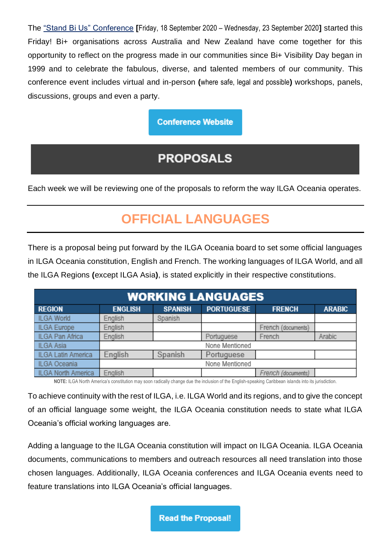The ["Stand Bi Us" Conference](http://www.standbius.com/) **[**Friday, 18 September 2020 – Wednesday, 23 September 2020**]** started this Friday! Bi+ organisations across Australia and New Zealand have come together for this opportunity to reflect on the progress made in our communities since Bi+ Visibility Day began in 1999 and to celebrate the fabulous, diverse, and talented members of our community. This conference event includes virtual and in-person **(**where safe, legal and possible**)** workshops, panels, discussions, groups and even a party.

#### **Conference Website**

## **PROPOSALS**

Each week we will be reviewing one of the proposals to reform the way ILGA Oceania operates.

# **OFFICIAL LANGUAGES**

There is a proposal being put forward by the ILGA Oceania board to set some official languages in ILGA Oceania constitution, English and French. The working languages of ILGA World, and all the ILGA Regions **(**except ILGA Asia**)**, is stated explicitly in their respective constitutions.

| <b>WORKING LANGUAGES</b> |                |                |                   |                    |               |  |
|--------------------------|----------------|----------------|-------------------|--------------------|---------------|--|
| <b>REGION</b>            | <b>ENGLISH</b> | <b>SPANISH</b> | <b>PORTUGUESE</b> | <b>FRENCH</b>      | <b>ARABIC</b> |  |
| <b>ILGA World</b>        | English        | Spanish        |                   |                    |               |  |
| <b>ILGA Europe</b>       | English        |                |                   | French (documents) |               |  |
| ILGA Pan Africa          | English        |                | Portuguese        | French             | Arabic        |  |
| ILGA Asia                |                |                | None Mentioned    |                    |               |  |
| ILGA Latin America       | English        | Spanish        | Portuguese        |                    |               |  |
| <b>ILGA Oceania</b>      |                |                | None Mentioned    |                    |               |  |
| ILGA North America       | English        |                |                   | French (documents) |               |  |

**NOTE:** ILGA North America's constitution may soon radically change due the inclusion of the English-speaking Caribbean islands into its jurisdiction.

To achieve continuity with the rest of ILGA, i.e. ILGA World and its regions, and to give the concept of an official language some weight, the ILGA Oceania constitution needs to state what ILGA Oceania's official working languages are.

Adding a language to the ILGA Oceania constitution will impact on ILGA Oceania. ILGA Oceania documents, communications to members and outreach resources all need translation into those chosen languages. Additionally, ILGA Oceania conferences and ILGA Oceania events need to feature translations into ILGA Oceania's official languages.

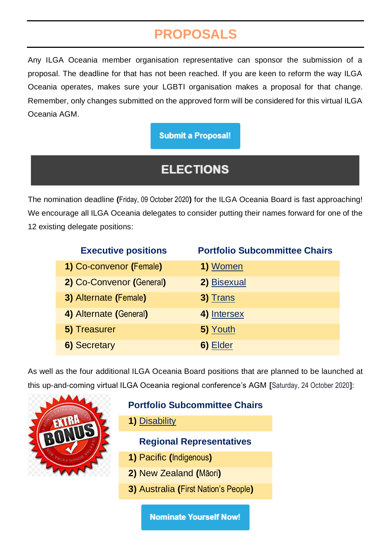# **PROPOSALS**

Any ILGA Oceania member organisation representative can sponsor the submission of a proposal. The deadline for that has not been reached. If you are keen to reform the way ILGA Oceania operates, makes sure your LGBTI organisation makes a proposal for that change. Remember, only changes submitted on the approved form will be considered for this virtual ILGA Oceania AGM.

#### **Submit a Proposal!**

## **ELECTIONS**

The nomination deadline **(**Friday, 09 October 2020**)** for the ILGA Oceania Board is fast approaching! We encourage all ILGA Oceania delegates to consider putting their names forward for one of the 12 existing delegate positions:

| <b>Executive positions</b> | <b>Portfolio Subcommittee Chairs</b> |
|----------------------------|--------------------------------------|
| 1) Co-convenor (Female)    | 1) Women                             |
| 2) Co-Convenor (General)   | 2) Bisexual                          |
| 3) Alternate (Female)      | 3) Trans                             |
| 4) Alternate (General)     | 4) Intersex                          |
| 5) Treasurer               | 5) Youth                             |
| 6) Secretary               | 6) Elder                             |

As well as the four additional ILGA Oceania Board positions that are planned to be launched at this up-and-coming virtual ILGA Oceania regional conference's AGM **[**Saturday, 24 October 2020**]**:



### **Portfolio Subcommittee Chairs**

**1)** [Disability](http://www.ilgaoceania.org/portfolios/job_descriptions/job_description-disability.pdf)

#### **Regional Representatives**

- **1)** Pacific **(**Indigenous**)**
- **2)** New Zealand **(**Māori**)**
- **3)** Australia **(**First Nation's People**)**

**Nominate Yourself Now!**